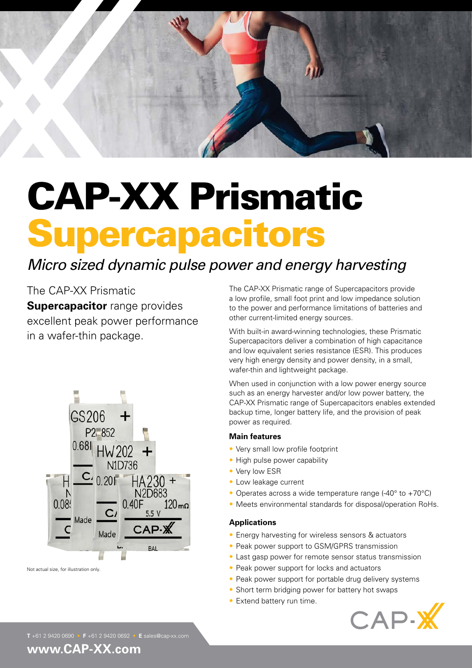

# CAP-XX Prismatic **Supercapacitors**

# *Micro sized dynamic pulse power and energy harvesting*

The CAP-XX Prismatic **Supercapacitor** range provides excellent peak power performance in a wafer-thin package.



Not actual size, for illustration only.

The CAP-XX Prismatic range of Supercapacitors provide a low profile, small foot print and low impedance solution to the power and performance limitations of batteries and other current-limited energy sources.

With built-in award-winning technologies, these Prismatic Supercapacitors deliver a combination of high capacitance and low equivalent series resistance (ESR). This produces very high energy density and power density, in a small, wafer-thin and lightweight package.

When used in conjunction with a low power energy source such as an energy harvester and/or low power battery, the CAP-XX Prismatic range of Supercapacitors enables extended backup time, longer battery life, and the provision of peak power as required.

#### **Main features**

- Very small low profile footprint
- High pulse power capability
- Very low ESR
- Low leakage current
- Operates across a wide temperature range (-40° to +70°C)
- Meets environmental standards for disposal/operation RoHs.

#### **Applications**

- Energy harvesting for wireless sensors & actuators
- Peak power support to GSM/GPRS transmission
- Last gasp power for remote sensor status transmission
- Peak power support for locks and actuators
- Peak power support for portable drug delivery systems
- Short term bridging power for battery hot swaps
- Extend battery run time.



### **www.CAP-XX.com**